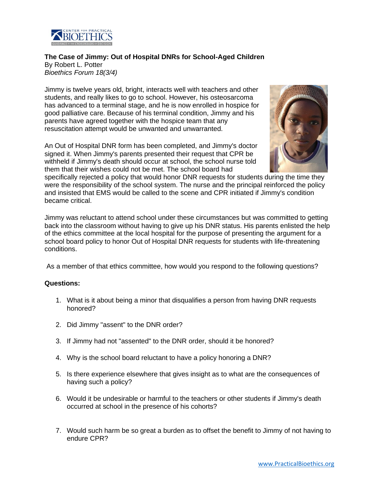

**The Case of Jimmy: Out of Hospital DNRs for School-Aged Children** By Robert L. Potter *Bioethics Forum 18(3/4)*

Jimmy is twelve years old, bright, interacts well with teachers and other students, and really likes to go to school. However, his osteosarcoma has advanced to a terminal stage, and he is now enrolled in hospice for good palliative care. Because of his terminal condition, Jimmy and his parents have agreed together with the hospice team that any resuscitation attempt would be unwanted and unwarranted.

An Out of Hospital DNR form has been completed, and Jimmy's doctor signed it. When Jimmy's parents presented their request that CPR be withheld if Jimmy's death should occur at school, the school nurse told them that their wishes could not be met. The school board had



specifically rejected a policy that would honor DNR requests for students during the time they were the responsibility of the school system. The nurse and the principal reinforced the policy and insisted that EMS would be called to the scene and CPR initiated if Jimmy's condition became critical.

Jimmy was reluctant to attend school under these circumstances but was committed to getting back into the classroom without having to give up his DNR status. His parents enlisted the help of the ethics committee at the local hospital for the purpose of presenting the argument for a school board policy to honor Out of Hospital DNR requests for students with life-threatening conditions.

As a member of that ethics committee, how would you respond to the following questions?

## **Questions:**

- 1. What is it about being a minor that disqualifies a person from having DNR requests honored?
- 2. Did Jimmy "assent" to the DNR order?
- 3. If Jimmy had not "assented" to the DNR order, should it be honored?
- 4. Why is the school board reluctant to have a policy honoring a DNR?
- 5. Is there experience elsewhere that gives insight as to what are the consequences of having such a policy?
- 6. Would it be undesirable or harmful to the teachers or other students if Jimmy's death occurred at school in the presence of his cohorts?
- 7. Would such harm be so great a burden as to offset the benefit to Jimmy of not having to endure CPR?